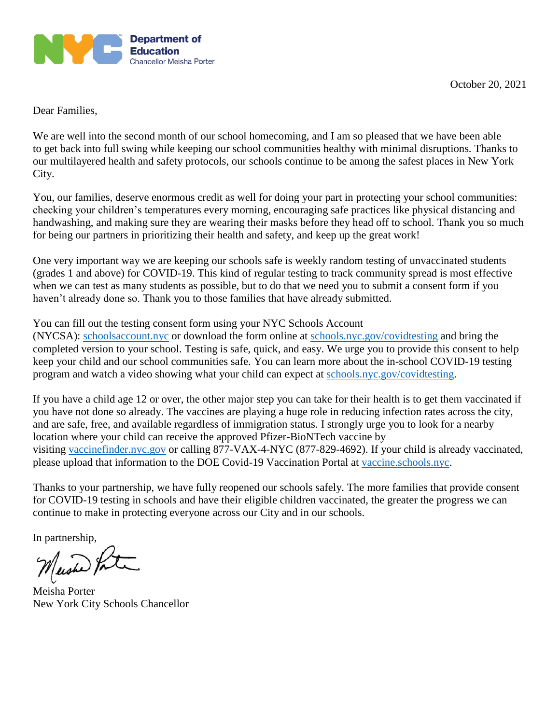

October 20, 2021

Dear Families,

We are well into the second month of our school homecoming, and I am so pleased that we have been able to get back into full swing while keeping our school communities healthy with minimal disruptions. Thanks to our multilayered health and safety protocols, our schools continue to be among the safest places in New York City.

You, our families, deserve enormous credit as well for doing your part in protecting your school communities: checking your children's temperatures every morning, encouraging safe practices like physical distancing and handwashing, and making sure they are wearing their masks before they head off to school. Thank you so much for being our partners in prioritizing their health and safety, and keep up the great work!

One very important way we are keeping our schools safe is weekly random testing of unvaccinated students (grades 1 and above) for COVID-19. This kind of regular testing to track community spread is most effective when we can test as many students as possible, but to do that we need you to submit a consent form if you haven't already done so. Thank you to those families that have already submitted.

## You can fill out the testing consent form using your NYC Schools Account

(NYCSA): [schoolsaccount.nyc](https://schoolsaccount.nyc/) or download the form online at [schools.nyc.gov/covidtesting](https://schools.nyc.gov/covidtesting) and bring the completed version to your school. Testing is safe, quick, and easy. We urge you to provide this consent to help keep your child and our school communities safe. You can learn more about the in-school COVID-19 testing program and watch a video showing what your child can expect at [schools.nyc.gov/covidtesting.](https://schools.nyc.gov/covidtesting)

If you have a child age 12 or over, the other major step you can take for their health is to get them vaccinated if you have not done so already. The vaccines are playing a huge role in reducing infection rates across the city, and are safe, free, and available regardless of immigration status. I strongly urge you to look for a nearby location where your child can receive the approved Pfizer-BioNTech vaccine by visiting [vaccinefinder.nyc.gov](http://vaccinefinder.nyc.gov/) or calling 877-VAX-4-NYC (877-829-4692). If your child is already vaccinated, please upload that information to the DOE Covid-19 Vaccination Portal at [vaccine.schools.nyc.](https://vaccine.schools.nyc/)

Thanks to your partnership, we have fully reopened our schools safely. The more families that provide consent for COVID-19 testing in schools and have their eligible children vaccinated, the greater the progress we can continue to make in protecting everyone across our City and in our schools.

In partnership,

Maished Porter

Meisha Porter New York City Schools Chancellor